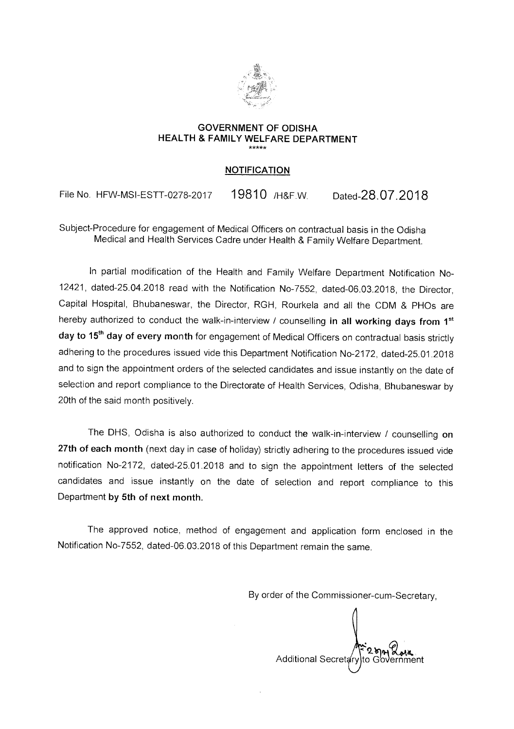

## **GOVERNMENT OF ODISHA HEALTH & FAMILY WELFARE DEPARTMENT**

## **NOTIFICATION**

File No. HFW-MSI-ESTT-0278-2017 19810 /H&F.W. Dated-28.07.2018

Subject-Procedure for engagement of Medical Officers on contractual basis in the Odisha Medical and Health Services Cadre under Health & Family Welfare Department.

In partial modification of the Health and Family Welfare Department Notification No-12421, dated-25.04.2018 read with the Notification No-7552, dated-06.03.2018, the Director, Capital Hospital, Bhubaneswar, the Director, RGH, Rourkela and all the CDM & PHOs are hereby authorized to conduct the walk-in-interview / counselling in all working days from 1<sup>st</sup> day to 15<sup>th</sup> day of every month for engagement of Medical Officers on contractual basis strictly adhering to the procedures issued vide this Department Notification No-2172, dated-25.01.2018 and to sign the appointment orders of the selected candidates and issue instantly on the date of selection and report compliance to the Directorate of Health Services, Odisha, Bhubaneswar by 20th of the said month positively.

The DHS, Odisha is also authorized to conduct the walk-in-interview / counselling **on 27th of each month** (next day in case of holiday) strictly adhering to the procedures issued vide notification No-2172, dated-25.01.2018 and to sign the appointment letters of the selected candidates and issue instantly on the date of selection and report compliance to this Department **by 5th of next month.** 

The approved notice, method of engagement and application form enclosed in the Notification No-7552, dated-06.03.2018 of this Department remain the same.

By order of the Commissioner-cum-Secretary,

Additional Secretary